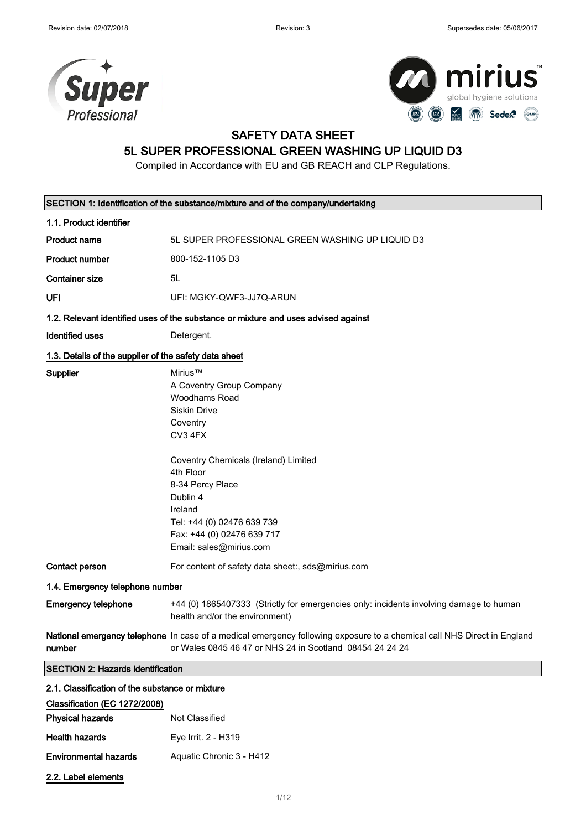



## SAFETY DATA SHEET

## 5L SUPER PROFESSIONAL GREEN WASHING UP LIQUID D3

Compiled in Accordance with EU and GB REACH and CLP Regulations.

| SECTION 1: Identification of the substance/mixture and of the company/undertaking |                                                                                                                                                                                                                                                                                           |  |
|-----------------------------------------------------------------------------------|-------------------------------------------------------------------------------------------------------------------------------------------------------------------------------------------------------------------------------------------------------------------------------------------|--|
| 1.1. Product identifier                                                           |                                                                                                                                                                                                                                                                                           |  |
| <b>Product name</b>                                                               | 5L SUPER PROFESSIONAL GREEN WASHING UP LIQUID D3                                                                                                                                                                                                                                          |  |
| <b>Product number</b>                                                             | 800-152-1105 D3                                                                                                                                                                                                                                                                           |  |
| <b>Container size</b>                                                             | 5L                                                                                                                                                                                                                                                                                        |  |
| UFI                                                                               | UFI: MGKY-QWF3-JJ7Q-ARUN                                                                                                                                                                                                                                                                  |  |
|                                                                                   | 1.2. Relevant identified uses of the substance or mixture and uses advised against                                                                                                                                                                                                        |  |
| <b>Identified uses</b>                                                            | Detergent.                                                                                                                                                                                                                                                                                |  |
| 1.3. Details of the supplier of the safety data sheet                             |                                                                                                                                                                                                                                                                                           |  |
| Supplier                                                                          | Mirius™<br>A Coventry Group Company<br>Woodhams Road<br><b>Siskin Drive</b><br>Coventry<br>CV3 4FX<br>Coventry Chemicals (Ireland) Limited<br>4th Floor<br>8-34 Percy Place<br>Dublin 4<br>Ireland<br>Tel: +44 (0) 02476 639 739<br>Fax: +44 (0) 02476 639 717<br>Email: sales@mirius.com |  |
| Contact person                                                                    | For content of safety data sheet:, sds@mirius.com                                                                                                                                                                                                                                         |  |
| 1.4. Emergency telephone number                                                   |                                                                                                                                                                                                                                                                                           |  |
| <b>Emergency telephone</b>                                                        | +44 (0) 1865407333 (Strictly for emergencies only: incidents involving damage to human<br>health and/or the environment)                                                                                                                                                                  |  |
| number                                                                            | National emergency telephone In case of a medical emergency following exposure to a chemical call NHS Direct in England<br>or Wales 0845 46 47 or NHS 24 in Scotland 08454 24 24 24                                                                                                       |  |
| <b>SECTION 2: Hazards identification</b>                                          |                                                                                                                                                                                                                                                                                           |  |
| 2.1. Classification of the substance or mixture                                   |                                                                                                                                                                                                                                                                                           |  |
| Classification (EC 1272/2008)                                                     |                                                                                                                                                                                                                                                                                           |  |
| <b>Physical hazards</b>                                                           | Not Classified                                                                                                                                                                                                                                                                            |  |
| <b>Health hazards</b>                                                             | Eye Irrit. 2 - H319                                                                                                                                                                                                                                                                       |  |

2.2. Label elements

Environmental hazards Aquatic Chronic 3 - H412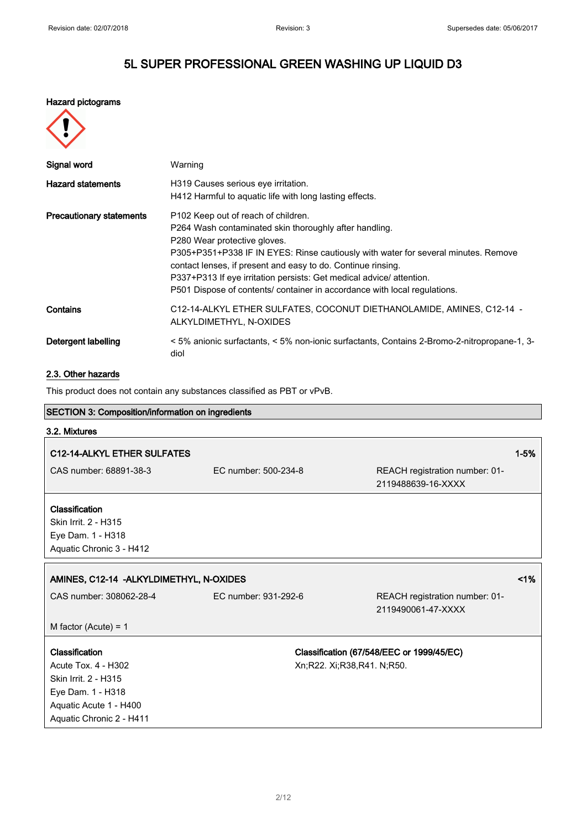#### Hazard pictograms

|--|

| Signal word                     | Warning                                                                                                                                                                                                                                                                                                                                                                                                                                              |
|---------------------------------|------------------------------------------------------------------------------------------------------------------------------------------------------------------------------------------------------------------------------------------------------------------------------------------------------------------------------------------------------------------------------------------------------------------------------------------------------|
| <b>Hazard statements</b>        | H319 Causes serious eye irritation.<br>H412 Harmful to aquatic life with long lasting effects.                                                                                                                                                                                                                                                                                                                                                       |
| <b>Precautionary statements</b> | P <sub>102</sub> Keep out of reach of children.<br>P264 Wash contaminated skin thoroughly after handling.<br>P280 Wear protective gloves.<br>P305+P351+P338 IF IN EYES: Rinse cautiously with water for several minutes. Remove<br>contact lenses, if present and easy to do. Continue rinsing.<br>P337+P313 If eye irritation persists: Get medical advice/ attention.<br>P501 Dispose of contents/ container in accordance with local regulations. |
| Contains                        | C12-14-ALKYL ETHER SULFATES, COCONUT DIETHANOLAMIDE, AMINES, C12-14 -<br>ALKYLDIMETHYL, N-OXIDES                                                                                                                                                                                                                                                                                                                                                     |
| Detergent labelling             | < 5% anionic surfactants, < 5% non-ionic surfactants, Contains 2-Bromo-2-nitropropane-1, 3-<br>diol                                                                                                                                                                                                                                                                                                                                                  |

### 2.3. Other hazards

This product does not contain any substances classified as PBT or vPvB.

| <b>SECTION 3: Composition/information on ingredients</b>                                                     |                      |                                                                         |          |
|--------------------------------------------------------------------------------------------------------------|----------------------|-------------------------------------------------------------------------|----------|
| 3.2. Mixtures                                                                                                |                      |                                                                         |          |
| C12-14-ALKYL ETHER SULFATES                                                                                  |                      |                                                                         | $1 - 5%$ |
| CAS number: 68891-38-3                                                                                       | EC number: 500-234-8 | REACH registration number: 01-<br>2119488639-16-XXXX                    |          |
| Classification<br>Skin Irrit. 2 - H315<br>Eye Dam. 1 - H318<br>Aquatic Chronic 3 - H412                      |                      |                                                                         |          |
| 1%<br>AMINES, C12-14 - ALKYLDIMETHYL, N-OXIDES                                                               |                      |                                                                         |          |
| CAS number: 308062-28-4                                                                                      | EC number: 931-292-6 | REACH registration number: 01-<br>2119490061-47-XXXX                    |          |
| M factor (Acute) = $1$                                                                                       |                      |                                                                         |          |
| Classification<br>Acute Tox. 4 - H302<br>Skin Irrit. 2 - H315<br>Eye Dam. 1 - H318<br>Aquatic Acute 1 - H400 |                      | Classification (67/548/EEC or 1999/45/EC)<br>Xn;R22. Xi;R38,R41. N;R50. |          |
| Aquatic Chronic 2 - H411                                                                                     |                      |                                                                         |          |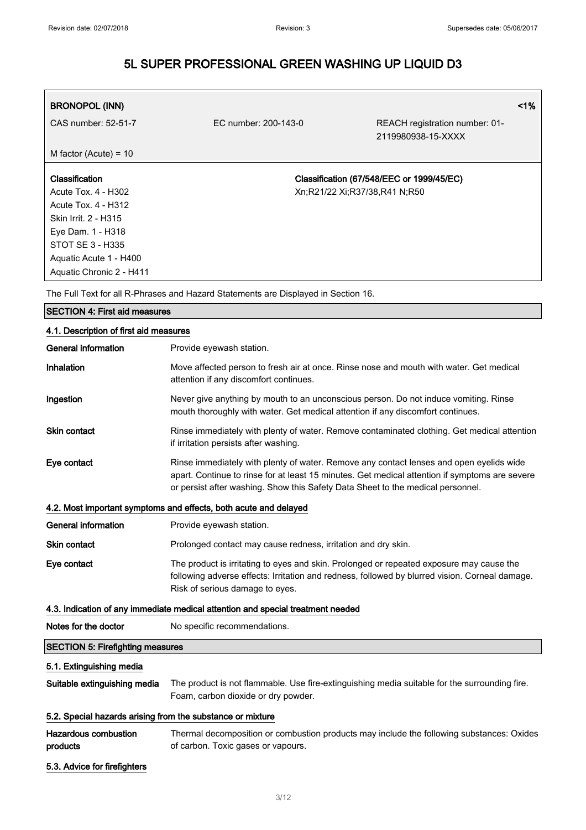| <b>BRONOPOL (INN)</b>    |                               |                                                      | $1\%$ |
|--------------------------|-------------------------------|------------------------------------------------------|-------|
| CAS number: 52-51-7      | EC number: 200-143-0          | REACH registration number: 01-<br>2119980938-15-XXXX |       |
| M factor (Acute) = $10$  |                               |                                                      |       |
|                          |                               |                                                      |       |
| Classification           |                               | Classification (67/548/EEC or 1999/45/EC)            |       |
| Acute Tox. 4 - H302      | Xn;R21/22 Xi;R37/38,R41 N;R50 |                                                      |       |
| Acute Tox. 4 - H312      |                               |                                                      |       |
| Skin Irrit. 2 - H315     |                               |                                                      |       |
| Eye Dam. 1 - H318        |                               |                                                      |       |
| STOT SE 3 - H335         |                               |                                                      |       |
| Aquatic Acute 1 - H400   |                               |                                                      |       |
| Aquatic Chronic 2 - H411 |                               |                                                      |       |

The Full Text for all R-Phrases and Hazard Statements are Displayed in Section 16.

## SECTION 4: First aid measures 4.1. Description of first aid measures General information **Provide eyewash station.** Inhalation Move affected person to fresh air at once. Rinse nose and mouth with water. Get medical attention if any discomfort continues. Ingestion Never give anything by mouth to an unconscious person. Do not induce vomiting. Rinse mouth thoroughly with water. Get medical attention if any discomfort continues. Skin contact **Rinse immediately with plenty of water. Remove contaminated clothing. Get medical attention** if irritation persists after washing. Eye contact Rinse immediately with plenty of water. Remove any contact lenses and open eyelids wide apart. Continue to rinse for at least 15 minutes. Get medical attention if symptoms are severe or persist after washing. Show this Safety Data Sheet to the medical personnel. 4.2. Most important symptoms and effects, both acute and delayed General information **Provide eyewash station**. Skin contact **Prolonged contact may cause redness**, irritation and dry skin. Eye contact The product is irritating to eyes and skin. Prolonged or repeated exposure may cause the following adverse effects: Irritation and redness, followed by blurred vision. Corneal damage. Risk of serious damage to eyes. 4.3. Indication of any immediate medical attention and special treatment needed Notes for the doctor No specific recommendations. SECTION 5: Firefighting measures 5.1. Extinguishing media Suitable extinguishing media The product is not flammable. Use fire-extinguishing media suitable for the surrounding fire. Foam, carbon dioxide or dry powder. 5.2. Special hazards arising from the substance or mixture Hazardous combustion products Thermal decomposition or combustion products may include the following substances: Oxides of carbon. Toxic gases or vapours. 5.3. Advice for firefighters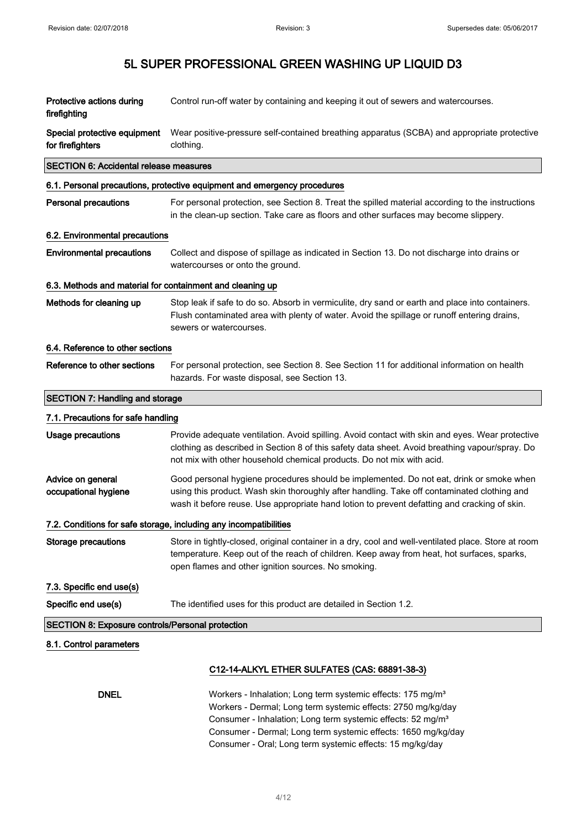| Protective actions during<br>firefighting                         | Control run-off water by containing and keeping it out of sewers and watercourses.                                                                                                                                                                                                                                                               |  |
|-------------------------------------------------------------------|--------------------------------------------------------------------------------------------------------------------------------------------------------------------------------------------------------------------------------------------------------------------------------------------------------------------------------------------------|--|
| Special protective equipment<br>for firefighters                  | Wear positive-pressure self-contained breathing apparatus (SCBA) and appropriate protective<br>clothing.                                                                                                                                                                                                                                         |  |
| <b>SECTION 6: Accidental release measures</b>                     |                                                                                                                                                                                                                                                                                                                                                  |  |
|                                                                   | 6.1. Personal precautions, protective equipment and emergency procedures                                                                                                                                                                                                                                                                         |  |
| <b>Personal precautions</b>                                       | For personal protection, see Section 8. Treat the spilled material according to the instructions<br>in the clean-up section. Take care as floors and other surfaces may become slippery.                                                                                                                                                         |  |
| 6.2. Environmental precautions                                    |                                                                                                                                                                                                                                                                                                                                                  |  |
| <b>Environmental precautions</b>                                  | Collect and dispose of spillage as indicated in Section 13. Do not discharge into drains or<br>watercourses or onto the ground.                                                                                                                                                                                                                  |  |
| 6.3. Methods and material for containment and cleaning up         |                                                                                                                                                                                                                                                                                                                                                  |  |
| Methods for cleaning up                                           | Stop leak if safe to do so. Absorb in vermiculite, dry sand or earth and place into containers.<br>Flush contaminated area with plenty of water. Avoid the spillage or runoff entering drains,<br>sewers or watercourses.                                                                                                                        |  |
| 6.4. Reference to other sections                                  |                                                                                                                                                                                                                                                                                                                                                  |  |
| Reference to other sections                                       | For personal protection, see Section 8. See Section 11 for additional information on health<br>hazards. For waste disposal, see Section 13.                                                                                                                                                                                                      |  |
| <b>SECTION 7: Handling and storage</b>                            |                                                                                                                                                                                                                                                                                                                                                  |  |
| 7.1. Precautions for safe handling                                |                                                                                                                                                                                                                                                                                                                                                  |  |
| <b>Usage precautions</b>                                          | Provide adequate ventilation. Avoid spilling. Avoid contact with skin and eyes. Wear protective<br>clothing as described in Section 8 of this safety data sheet. Avoid breathing vapour/spray. Do<br>not mix with other household chemical products. Do not mix with acid.                                                                       |  |
| Advice on general<br>occupational hygiene                         | Good personal hygiene procedures should be implemented. Do not eat, drink or smoke when<br>using this product. Wash skin thoroughly after handling. Take off contaminated clothing and<br>wash it before reuse. Use appropriate hand lotion to prevent defatting and cracking of skin.                                                           |  |
| 7.2. Conditions for safe storage, including any incompatibilities |                                                                                                                                                                                                                                                                                                                                                  |  |
| <b>Storage precautions</b>                                        | Store in tightly-closed, original container in a dry, cool and well-ventilated place. Store at room<br>temperature. Keep out of the reach of children. Keep away from heat, hot surfaces, sparks,<br>open flames and other ignition sources. No smoking.                                                                                         |  |
| 7.3. Specific end use(s)                                          |                                                                                                                                                                                                                                                                                                                                                  |  |
| Specific end use(s)                                               | The identified uses for this product are detailed in Section 1.2.                                                                                                                                                                                                                                                                                |  |
| <b>SECTION 8: Exposure controls/Personal protection</b>           |                                                                                                                                                                                                                                                                                                                                                  |  |
| 8.1. Control parameters                                           |                                                                                                                                                                                                                                                                                                                                                  |  |
|                                                                   | C12-14-ALKYL ETHER SULFATES (CAS: 68891-38-3)                                                                                                                                                                                                                                                                                                    |  |
| <b>DNEL</b>                                                       | Workers - Inhalation; Long term systemic effects: 175 mg/m <sup>3</sup><br>Workers - Dermal; Long term systemic effects: 2750 mg/kg/day<br>Consumer - Inhalation; Long term systemic effects: 52 mg/m <sup>3</sup><br>Consumer - Dermal; Long term systemic effects: 1650 mg/kg/day<br>Consumer - Oral; Long term systemic effects: 15 mg/kg/day |  |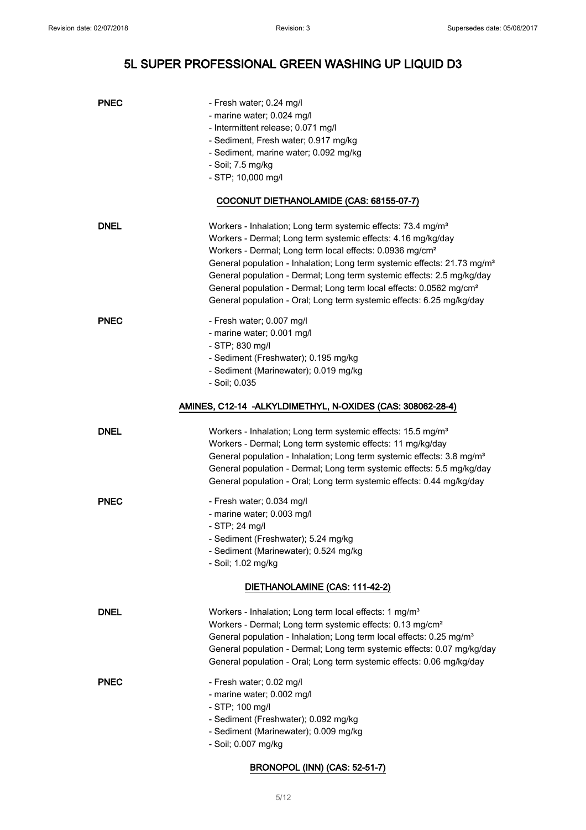| <b>PNEC</b> | - Fresh water; 0.24 mg/l                                                             |
|-------------|--------------------------------------------------------------------------------------|
|             | - marine water; 0.024 mg/l                                                           |
|             | - Intermittent release; 0.071 mg/l                                                   |
|             | - Sediment, Fresh water; 0.917 mg/kg                                                 |
|             | - Sediment, marine water; 0.092 mg/kg                                                |
|             | - Soil; 7.5 mg/kg                                                                    |
|             | - STP; 10,000 mg/l                                                                   |
|             | COCONUT DIETHANOLAMIDE (CAS: 68155-07-7)                                             |
| <b>DNEL</b> | Workers - Inhalation; Long term systemic effects: 73.4 mg/m <sup>3</sup>             |
|             | Workers - Dermal; Long term systemic effects: 4.16 mg/kg/day                         |
|             | Workers - Dermal; Long term local effects: 0.0936 mg/cm <sup>2</sup>                 |
|             | General population - Inhalation; Long term systemic effects: 21.73 mg/m <sup>3</sup> |
|             | General population - Dermal; Long term systemic effects: 2.5 mg/kg/day               |
|             | General population - Dermal; Long term local effects: 0.0562 mg/cm <sup>2</sup>      |
|             | General population - Oral; Long term systemic effects: 6.25 mg/kg/day                |
| <b>PNEC</b> | - Fresh water; 0.007 mg/l                                                            |
|             | - marine water; 0.001 mg/l                                                           |
|             | - STP; 830 mg/l                                                                      |
|             | - Sediment (Freshwater); 0.195 mg/kg                                                 |
|             | - Sediment (Marinewater); 0.019 mg/kg                                                |
|             | - Soil; 0.035                                                                        |
|             | AMINES, C12-14 -ALKYLDIMETHYL, N-OXIDES (CAS: 308062-28-4)                           |
| <b>DNEL</b> | Workers - Inhalation; Long term systemic effects: 15.5 mg/m <sup>3</sup>             |
|             | Workers - Dermal; Long term systemic effects: 11 mg/kg/day                           |
|             | General population - Inhalation; Long term systemic effects: 3.8 mg/m <sup>3</sup>   |
|             | General population - Dermal; Long term systemic effects: 5.5 mg/kg/day               |
|             | General population - Oral; Long term systemic effects: 0.44 mg/kg/day                |
| <b>PNEC</b> | - Fresh water; 0.034 mg/l                                                            |
|             | - marine water; 0.003 mg/l                                                           |
|             | $-$ STP; 24 mg/l                                                                     |
|             | - Sediment (Freshwater); 5.24 mg/kg                                                  |
|             | - Sediment (Marinewater); 0.524 mg/kg                                                |
|             | - Soil; 1.02 mg/kg                                                                   |
|             | DIETHANOLAMINE (CAS: 111-42-2)                                                       |
| <b>DNEL</b> | Workers - Inhalation; Long term local effects: 1 mg/m <sup>3</sup>                   |
|             | Workers - Dermal; Long term systemic effects: 0.13 mg/cm <sup>2</sup>                |
|             | General population - Inhalation; Long term local effects: 0.25 mg/m <sup>3</sup>     |
|             | General population - Dermal; Long term systemic effects: 0.07 mg/kg/day              |
|             | General population - Oral; Long term systemic effects: 0.06 mg/kg/day                |
| <b>PNEC</b> | - Fresh water; 0.02 mg/l                                                             |
|             | - marine water; 0.002 mg/l                                                           |
|             | - STP; 100 mg/l                                                                      |
|             | - Sediment (Freshwater); 0.092 mg/kg                                                 |
|             | - Sediment (Marinewater); 0.009 mg/kg                                                |
|             | - Soil; 0.007 mg/kg                                                                  |
|             |                                                                                      |

## BRONOPOL (INN) (CAS: 52-51-7)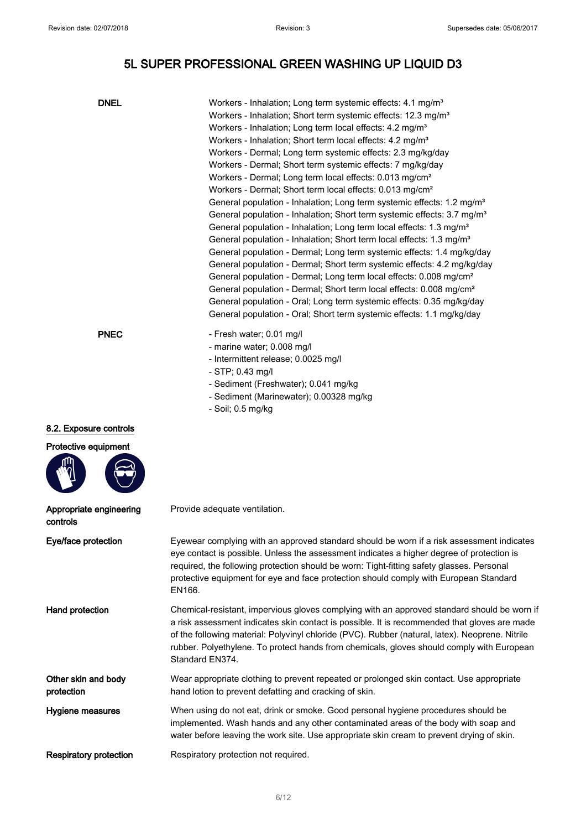| <b>DNEL</b>                         | Workers - Inhalation; Long term systemic effects: 4.1 mg/m <sup>3</sup><br>Workers - Inhalation; Short term systemic effects: 12.3 mg/m <sup>3</sup><br>Workers - Inhalation; Long term local effects: 4.2 mg/m <sup>3</sup><br>Workers - Inhalation; Short term local effects: 4.2 mg/m <sup>3</sup><br>Workers - Dermal; Long term systemic effects: 2.3 mg/kg/day<br>Workers - Dermal; Short term systemic effects: 7 mg/kg/day<br>Workers - Dermal; Long term local effects: 0.013 mg/cm <sup>2</sup><br>Workers - Dermal; Short term local effects: 0.013 mg/cm <sup>2</sup><br>General population - Inhalation; Long term systemic effects: 1.2 mg/m <sup>3</sup><br>General population - Inhalation; Short term systemic effects: 3.7 mg/m <sup>3</sup><br>General population - Inhalation; Long term local effects: 1.3 mg/m <sup>3</sup> |
|-------------------------------------|---------------------------------------------------------------------------------------------------------------------------------------------------------------------------------------------------------------------------------------------------------------------------------------------------------------------------------------------------------------------------------------------------------------------------------------------------------------------------------------------------------------------------------------------------------------------------------------------------------------------------------------------------------------------------------------------------------------------------------------------------------------------------------------------------------------------------------------------------|
|                                     | General population - Inhalation; Short term local effects: 1.3 mg/m <sup>3</sup><br>General population - Dermal; Long term systemic effects: 1.4 mg/kg/day<br>General population - Dermal; Short term systemic effects: 4.2 mg/kg/day<br>General population - Dermal; Long term local effects: 0.008 mg/cm <sup>2</sup><br>General population - Dermal; Short term local effects: 0.008 mg/cm <sup>2</sup><br>General population - Oral; Long term systemic effects: 0.35 mg/kg/day<br>General population - Oral; Short term systemic effects: 1.1 mg/kg/day                                                                                                                                                                                                                                                                                      |
| <b>PNEC</b>                         | - Fresh water; 0.01 mg/l<br>- marine water; 0.008 mg/l<br>- Intermittent release; 0.0025 mg/l<br>- STP; 0.43 mg/l<br>- Sediment (Freshwater); 0.041 mg/kg<br>- Sediment (Marinewater); 0.00328 mg/kg<br>- Soil; 0.5 mg/kg                                                                                                                                                                                                                                                                                                                                                                                                                                                                                                                                                                                                                         |
| 8.2. Exposure controls              |                                                                                                                                                                                                                                                                                                                                                                                                                                                                                                                                                                                                                                                                                                                                                                                                                                                   |
| Protective equipment                |                                                                                                                                                                                                                                                                                                                                                                                                                                                                                                                                                                                                                                                                                                                                                                                                                                                   |
| Appropriate engineering<br>controls | Provide adequate ventilation.                                                                                                                                                                                                                                                                                                                                                                                                                                                                                                                                                                                                                                                                                                                                                                                                                     |
| Eye/face protection                 | Eyewear complying with an approved standard should be worn if a risk assessment indicates<br>eye contact is possible. Unless the assessment indicates a higher degree of protection is<br>required, the following protection should be worn: Tight-fitting safety glasses. Personal<br>protective equipment for eye and face protection should comply with European Standard<br>EN166.                                                                                                                                                                                                                                                                                                                                                                                                                                                            |
| Hand protection                     | Chemical-resistant, impervious gloves complying with an approved standard should be worn if<br>a risk assessment indicates skin contact is possible. It is recommended that gloves are made<br>of the following material: Polyvinyl chloride (PVC). Rubber (natural, latex). Neoprene. Nitrile<br>rubber. Polyethylene. To protect hands from chemicals, gloves should comply with European<br>Standard EN374.                                                                                                                                                                                                                                                                                                                                                                                                                                    |
| Other skin and body<br>protection   | Wear appropriate clothing to prevent repeated or prolonged skin contact. Use appropriate<br>hand lotion to prevent defatting and cracking of skin.                                                                                                                                                                                                                                                                                                                                                                                                                                                                                                                                                                                                                                                                                                |
| Hygiene measures                    | When using do not eat, drink or smoke. Good personal hygiene procedures should be<br>implemented. Wash hands and any other contaminated areas of the body with soap and<br>water before leaving the work site. Use appropriate skin cream to prevent drying of skin.                                                                                                                                                                                                                                                                                                                                                                                                                                                                                                                                                                              |
| <b>Respiratory protection</b>       | Respiratory protection not required.                                                                                                                                                                                                                                                                                                                                                                                                                                                                                                                                                                                                                                                                                                                                                                                                              |
|                                     |                                                                                                                                                                                                                                                                                                                                                                                                                                                                                                                                                                                                                                                                                                                                                                                                                                                   |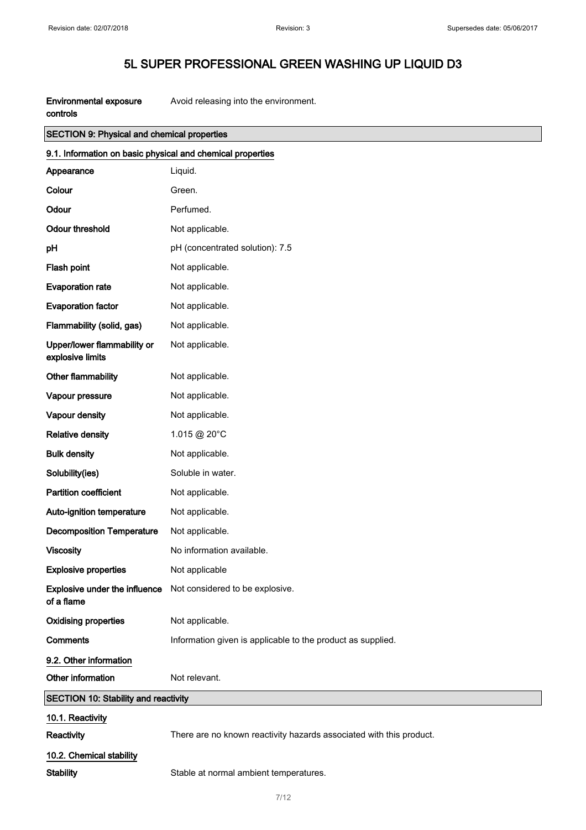| Environmental exposure | Avoid releasing into the environment. |
|------------------------|---------------------------------------|
| controls               |                                       |

| <b>SECTION 9: Physical and chemical properties</b>         |                                                                      |  |
|------------------------------------------------------------|----------------------------------------------------------------------|--|
| 9.1. Information on basic physical and chemical properties |                                                                      |  |
| Appearance                                                 | Liquid.                                                              |  |
| Colour                                                     | Green.                                                               |  |
| Odour                                                      | Perfumed.                                                            |  |
| <b>Odour threshold</b>                                     | Not applicable.                                                      |  |
| pH                                                         | pH (concentrated solution): 7.5                                      |  |
| Flash point                                                | Not applicable.                                                      |  |
| <b>Evaporation rate</b>                                    | Not applicable.                                                      |  |
| <b>Evaporation factor</b>                                  | Not applicable.                                                      |  |
| Flammability (solid, gas)                                  | Not applicable.                                                      |  |
| Upper/lower flammability or<br>explosive limits            | Not applicable.                                                      |  |
| Other flammability                                         | Not applicable.                                                      |  |
| Vapour pressure                                            | Not applicable.                                                      |  |
| Vapour density                                             | Not applicable.                                                      |  |
| <b>Relative density</b>                                    | 1.015 @ 20°C                                                         |  |
| <b>Bulk density</b>                                        | Not applicable.                                                      |  |
| Solubility(ies)                                            | Soluble in water.                                                    |  |
| <b>Partition coefficient</b>                               | Not applicable.                                                      |  |
| Auto-ignition temperature                                  | Not applicable.                                                      |  |
| <b>Decomposition Temperature</b>                           | Not applicable.                                                      |  |
| <b>Viscosity</b>                                           | No information available.                                            |  |
| <b>Explosive properties</b>                                | Not applicable                                                       |  |
| of a flame                                                 | <b>Explosive under the influence</b> Not considered to be explosive. |  |
| <b>Oxidising properties</b>                                | Not applicable.                                                      |  |
| <b>Comments</b>                                            | Information given is applicable to the product as supplied.          |  |
| 9.2. Other information                                     |                                                                      |  |
| Other information                                          | Not relevant.                                                        |  |
| <b>SECTION 10: Stability and reactivity</b>                |                                                                      |  |
| 10.1. Reactivity                                           |                                                                      |  |
| Reactivity                                                 | There are no known reactivity hazards associated with this product.  |  |
| 10.2. Chemical stability                                   |                                                                      |  |
| <b>Stability</b>                                           | Stable at normal ambient temperatures.                               |  |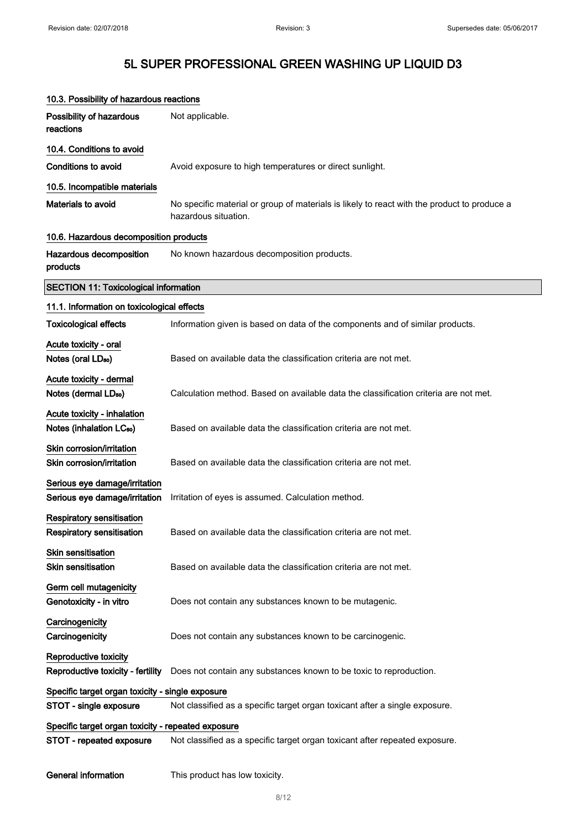| 10.3. Possibility of hazardous reactions                             |                                                                                                                     |
|----------------------------------------------------------------------|---------------------------------------------------------------------------------------------------------------------|
| Possibility of hazardous<br>reactions                                | Not applicable.                                                                                                     |
| 10.4. Conditions to avoid                                            |                                                                                                                     |
| <b>Conditions to avoid</b>                                           | Avoid exposure to high temperatures or direct sunlight.                                                             |
| 10.5. Incompatible materials                                         |                                                                                                                     |
| Materials to avoid                                                   | No specific material or group of materials is likely to react with the product to produce a<br>hazardous situation. |
| 10.6. Hazardous decomposition products                               |                                                                                                                     |
| Hazardous decomposition<br>products                                  | No known hazardous decomposition products.                                                                          |
| <b>SECTION 11: Toxicological information</b>                         |                                                                                                                     |
| 11.1. Information on toxicological effects                           |                                                                                                                     |
| <b>Toxicological effects</b>                                         | Information given is based on data of the components and of similar products.                                       |
| Acute toxicity - oral                                                |                                                                                                                     |
| Notes (oral LD <sub>50</sub> )                                       | Based on available data the classification criteria are not met.                                                    |
| Acute toxicity - dermal                                              |                                                                                                                     |
| Notes (dermal LD <sub>50</sub> )                                     | Calculation method. Based on available data the classification criteria are not met.                                |
| Acute toxicity - inhalation<br>Notes (inhalation LC <sub>50</sub> )  | Based on available data the classification criteria are not met.                                                    |
| Skin corrosion/irritation<br>Skin corrosion/irritation               | Based on available data the classification criteria are not met.                                                    |
| Serious eye damage/irritation<br>Serious eye damage/irritation       | Irritation of eyes is assumed. Calculation method.                                                                  |
| <b>Respiratory sensitisation</b><br><b>Respiratory sensitisation</b> | Based on available data the classification criteria are not met.                                                    |
| <b>Skin sensitisation</b><br><b>Skin sensitisation</b>               | Based on available data the classification criteria are not met.                                                    |
| Germ cell mutagenicity<br>Genotoxicity - in vitro                    | Does not contain any substances known to be mutagenic.                                                              |
| Carcinogenicity<br>Carcinogenicity                                   | Does not contain any substances known to be carcinogenic.                                                           |
| Reproductive toxicity                                                |                                                                                                                     |
| Reproductive toxicity - fertility                                    | Does not contain any substances known to be toxic to reproduction.                                                  |
| Specific target organ toxicity - single exposure                     |                                                                                                                     |
| STOT - single exposure                                               | Not classified as a specific target organ toxicant after a single exposure.                                         |
| Specific target organ toxicity - repeated exposure                   |                                                                                                                     |
| STOT - repeated exposure                                             | Not classified as a specific target organ toxicant after repeated exposure.                                         |
| <b>General information</b>                                           | This product has low toxicity.                                                                                      |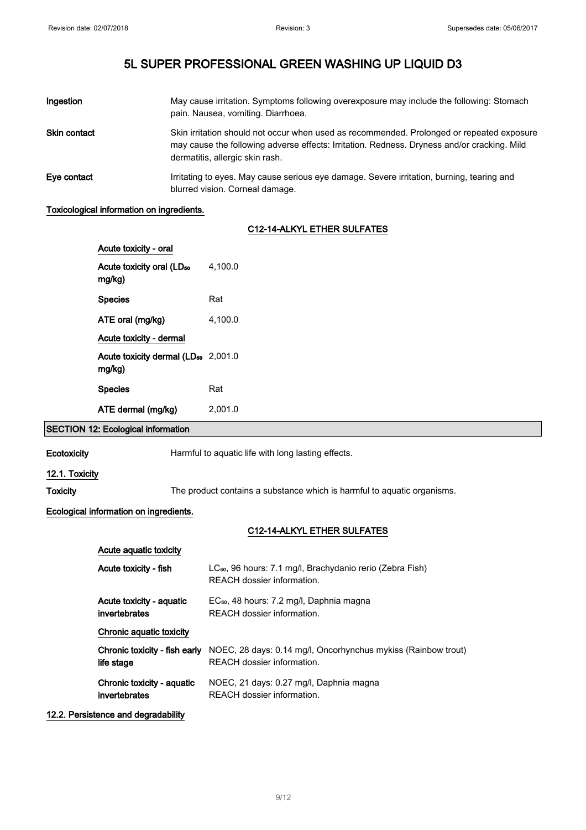| Ingestion           | May cause irritation. Symptoms following overexposure may include the following: Stomach<br>pain. Nausea, vomiting. Diarrhoea.                                                                                              |
|---------------------|-----------------------------------------------------------------------------------------------------------------------------------------------------------------------------------------------------------------------------|
| <b>Skin contact</b> | Skin irritation should not occur when used as recommended. Prolonged or repeated exposure<br>may cause the following adverse effects: Irritation. Redness. Dryness and/or cracking. Mild<br>dermatitis, allergic skin rash. |
| Eve contact         | Irritating to eyes. May cause serious eye damage. Severe irritation, burning, tearing and<br>blurred vision. Corneal damage.                                                                                                |

#### Toxicological information on ingredients.

#### C12-14-ALKYL ETHER SULFATES

| Acute toxicity - oral                                     |         |
|-----------------------------------------------------------|---------|
| Acute toxicity oral (LD <sub>50</sub><br>mg/kg)           | 4.100.0 |
| <b>Species</b>                                            | Rat     |
| ATE oral (mg/kg)                                          | 4.100.0 |
| Acute toxicity - dermal                                   |         |
| Acute toxicity dermal (LD <sub>50</sub> 2,001.0<br>mg/kg) |         |
| <b>Species</b>                                            | Rat     |
| ATE dermal (mg/kg)                                        | 2.001.0 |

### SECTION 12: Ecological information

Ecotoxicity **Harmful to aquatic life with long lasting effects.** 

#### 12.1. Toxicity

Toxicity The product contains a substance which is harmful to aquatic organisms.

#### Ecological information on ingredients.

### C12-14-ALKYL ETHER SULFATES

| Acute aguatic toxicity        |                                                                                                     |
|-------------------------------|-----------------------------------------------------------------------------------------------------|
| Acute toxicity - fish         | LC <sub>50</sub> , 96 hours: 7.1 mg/l, Brachydanio rerio (Zebra Fish)<br>REACH dossier information. |
| Acute toxicity - aguatic      | EC <sub>50</sub> , 48 hours: 7.2 mg/l, Daphnia magna                                                |
| invertebrates                 | REACH dossier information.                                                                          |
| Chronic aquatic toxicity      |                                                                                                     |
| Chronic toxicity - fish early | NOEC, 28 days: 0.14 mg/l, Oncorhynchus mykiss (Rainbow trout)                                       |
| life stage                    | REACH dossier information.                                                                          |
| Chronic toxicity - aquatic    | NOEC, 21 days: 0.27 mg/l, Daphnia magna                                                             |
| invertebrates                 | REACH dossier information.                                                                          |

#### 12.2. Persistence and degradability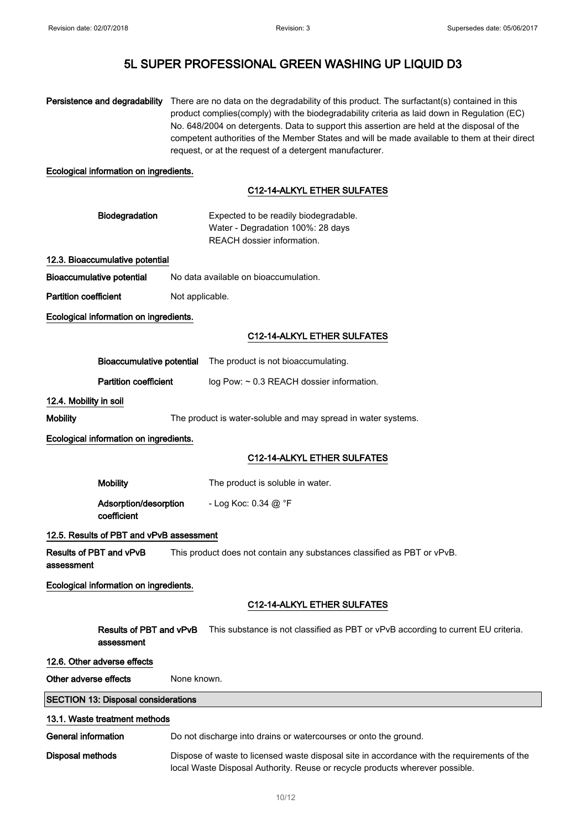|                                       | Persistence and degradability              |                                                                                                                                                                             | There are no data on the degradability of this product. The surfactant(s) contained in this<br>product complies(comply) with the biodegradability criteria as laid down in Regulation (EC)<br>No. 648/2004 on detergents. Data to support this assertion are held at the disposal of the<br>competent authorities of the Member States and will be made available to them at their direct<br>request, or at the request of a detergent manufacturer. |
|---------------------------------------|--------------------------------------------|-----------------------------------------------------------------------------------------------------------------------------------------------------------------------------|------------------------------------------------------------------------------------------------------------------------------------------------------------------------------------------------------------------------------------------------------------------------------------------------------------------------------------------------------------------------------------------------------------------------------------------------------|
|                                       | Ecological information on ingredients.     |                                                                                                                                                                             |                                                                                                                                                                                                                                                                                                                                                                                                                                                      |
|                                       |                                            |                                                                                                                                                                             | C12-14-ALKYL ETHER SULFATES                                                                                                                                                                                                                                                                                                                                                                                                                          |
|                                       | Biodegradation                             |                                                                                                                                                                             | Expected to be readily biodegradable.<br>Water - Degradation 100%: 28 days<br>REACH dossier information.                                                                                                                                                                                                                                                                                                                                             |
|                                       | 12.3. Bioaccumulative potential            |                                                                                                                                                                             |                                                                                                                                                                                                                                                                                                                                                                                                                                                      |
| <b>Bioaccumulative potential</b>      |                                            |                                                                                                                                                                             | No data available on bioaccumulation.                                                                                                                                                                                                                                                                                                                                                                                                                |
| <b>Partition coefficient</b>          |                                            | Not applicable.                                                                                                                                                             |                                                                                                                                                                                                                                                                                                                                                                                                                                                      |
|                                       | Ecological information on ingredients.     |                                                                                                                                                                             |                                                                                                                                                                                                                                                                                                                                                                                                                                                      |
|                                       |                                            |                                                                                                                                                                             | C12-14-ALKYL ETHER SULFATES                                                                                                                                                                                                                                                                                                                                                                                                                          |
|                                       | <b>Bioaccumulative potential</b>           |                                                                                                                                                                             | The product is not bioaccumulating.                                                                                                                                                                                                                                                                                                                                                                                                                  |
|                                       | <b>Partition coefficient</b>               |                                                                                                                                                                             | log Pow: ~ 0.3 REACH dossier information.                                                                                                                                                                                                                                                                                                                                                                                                            |
| 12.4. Mobility in soil                |                                            |                                                                                                                                                                             |                                                                                                                                                                                                                                                                                                                                                                                                                                                      |
| Mobility                              |                                            |                                                                                                                                                                             | The product is water-soluble and may spread in water systems.                                                                                                                                                                                                                                                                                                                                                                                        |
|                                       | Ecological information on ingredients.     |                                                                                                                                                                             |                                                                                                                                                                                                                                                                                                                                                                                                                                                      |
|                                       |                                            |                                                                                                                                                                             | C12-14-ALKYL ETHER SULFATES                                                                                                                                                                                                                                                                                                                                                                                                                          |
|                                       |                                            |                                                                                                                                                                             |                                                                                                                                                                                                                                                                                                                                                                                                                                                      |
|                                       | <b>Mobility</b>                            |                                                                                                                                                                             | The product is soluble in water.                                                                                                                                                                                                                                                                                                                                                                                                                     |
|                                       | Adsorption/desorption<br>coefficient       |                                                                                                                                                                             | - Log Koc: $0.34 \textcircled{a} \degree$ F                                                                                                                                                                                                                                                                                                                                                                                                          |
|                                       | 12.5. Results of PBT and vPvB assessment   |                                                                                                                                                                             |                                                                                                                                                                                                                                                                                                                                                                                                                                                      |
| Results of PBT and vPvB<br>assessment |                                            |                                                                                                                                                                             | This product does not contain any substances classified as PBT or vPvB.                                                                                                                                                                                                                                                                                                                                                                              |
|                                       | Ecological information on ingredients.     |                                                                                                                                                                             |                                                                                                                                                                                                                                                                                                                                                                                                                                                      |
|                                       |                                            |                                                                                                                                                                             | <b>C12-14-ALKYL ETHER SULFATES</b>                                                                                                                                                                                                                                                                                                                                                                                                                   |
|                                       | Results of PBT and vPvB<br>assessment      |                                                                                                                                                                             | This substance is not classified as PBT or vPvB according to current EU criteria.                                                                                                                                                                                                                                                                                                                                                                    |
| 12.6. Other adverse effects           |                                            |                                                                                                                                                                             |                                                                                                                                                                                                                                                                                                                                                                                                                                                      |
| Other adverse effects                 |                                            | None known.                                                                                                                                                                 |                                                                                                                                                                                                                                                                                                                                                                                                                                                      |
|                                       | <b>SECTION 13: Disposal considerations</b> |                                                                                                                                                                             |                                                                                                                                                                                                                                                                                                                                                                                                                                                      |
|                                       | 13.1. Waste treatment methods              |                                                                                                                                                                             |                                                                                                                                                                                                                                                                                                                                                                                                                                                      |
| General information                   |                                            |                                                                                                                                                                             | Do not discharge into drains or watercourses or onto the ground.                                                                                                                                                                                                                                                                                                                                                                                     |
| Disposal methods                      |                                            | Dispose of waste to licensed waste disposal site in accordance with the requirements of the<br>local Waste Disposal Authority. Reuse or recycle products wherever possible. |                                                                                                                                                                                                                                                                                                                                                                                                                                                      |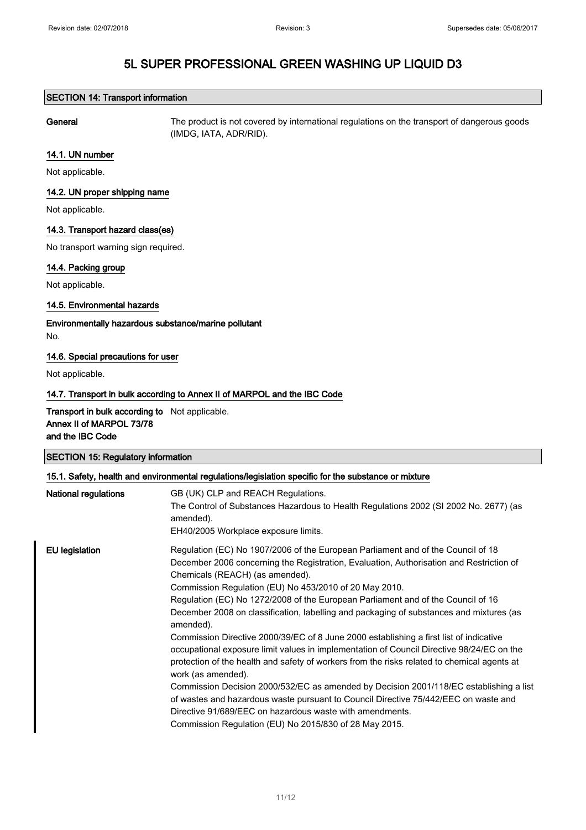#### SECTION 14: Transport information

General The product is not covered by international regulations on the transport of dangerous goods (IMDG, IATA, ADR/RID).

#### 14.1. UN number

Not applicable.

#### 14.2. UN proper shipping name

Not applicable.

#### 14.3. Transport hazard class(es)

No transport warning sign required.

#### 14.4. Packing group

Not applicable.

#### 14.5. Environmental hazards

Environmentally hazardous substance/marine pollutant No.

#### 14.6. Special precautions for user

Not applicable.

#### 14.7. Transport in bulk according to Annex II of MARPOL and the IBC Code

Transport in bulk according to Not applicable. Annex II of MARPOL 73/78 and the IBC Code

| <b>SECTION 15: Regulatory information</b>                                                            |                                     |  |
|------------------------------------------------------------------------------------------------------|-------------------------------------|--|
| 15.1. Safety, health and environmental regulations/legislation specific for the substance or mixture |                                     |  |
| المسمانا ماريسمس المسمانا ماليا                                                                      | CD (LIIA) OLD and DEACH Damilations |  |

| National regulations  | GB (UK) CLP and REACH Regulations.<br>The Control of Substances Hazardous to Health Regulations 2002 (SI 2002 No. 2677) (as<br>amended).<br>EH40/2005 Workplace exposure limits.                                                                                                                                                                                                                                                                                                                                                                                                                                                                                                                                                                                                                                                                                                                                                                                                                                                                                                        |
|-----------------------|-----------------------------------------------------------------------------------------------------------------------------------------------------------------------------------------------------------------------------------------------------------------------------------------------------------------------------------------------------------------------------------------------------------------------------------------------------------------------------------------------------------------------------------------------------------------------------------------------------------------------------------------------------------------------------------------------------------------------------------------------------------------------------------------------------------------------------------------------------------------------------------------------------------------------------------------------------------------------------------------------------------------------------------------------------------------------------------------|
| <b>EU</b> legislation | Regulation (EC) No 1907/2006 of the European Parliament and of the Council of 18<br>December 2006 concerning the Registration, Evaluation, Authorisation and Restriction of<br>Chemicals (REACH) (as amended).<br>Commission Regulation (EU) No 453/2010 of 20 May 2010.<br>Regulation (EC) No 1272/2008 of the European Parliament and of the Council of 16<br>December 2008 on classification, labelling and packaging of substances and mixtures (as<br>amended).<br>Commission Directive 2000/39/EC of 8 June 2000 establishing a first list of indicative<br>occupational exposure limit values in implementation of Council Directive 98/24/EC on the<br>protection of the health and safety of workers from the risks related to chemical agents at<br>work (as amended).<br>Commission Decision 2000/532/EC as amended by Decision 2001/118/EC establishing a list<br>of wastes and hazardous waste pursuant to Council Directive 75/442/EEC on waste and<br>Directive 91/689/EEC on hazardous waste with amendments.<br>Commission Regulation (EU) No 2015/830 of 28 May 2015. |